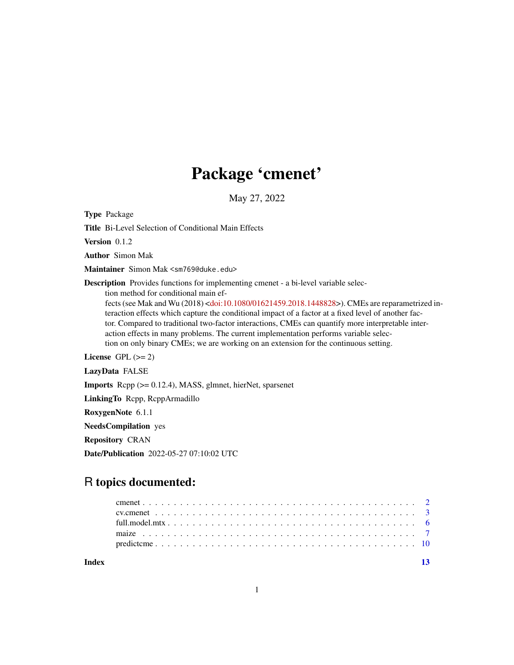## Package 'cmenet'

May 27, 2022

Type Package

Title Bi-Level Selection of Conditional Main Effects

Version 0.1.2

Author Simon Mak

Maintainer Simon Mak <sm769@duke.edu>

Description Provides functions for implementing cmenet - a bi-level variable selec-

tion method for conditional main ef-

fects (see Mak and Wu (2018) [<doi:10.1080/01621459.2018.1448828>](https://doi.org/10.1080/01621459.2018.1448828)). CMEs are reparametrized interaction effects which capture the conditional impact of a factor at a fixed level of another factor. Compared to traditional two-factor interactions, CMEs can quantify more interpretable interaction effects in many problems. The current implementation performs variable selection on only binary CMEs; we are working on an extension for the continuous setting.

License GPL  $(>= 2)$ 

LazyData FALSE

Imports Rcpp (>= 0.12.4), MASS, glmnet, hierNet, sparsenet

LinkingTo Rcpp, RcppArmadillo

RoxygenNote 6.1.1

NeedsCompilation yes

Repository CRAN

Date/Publication 2022-05-27 07:10:02 UTC

### R topics documented:

**Index** [13](#page-12-0)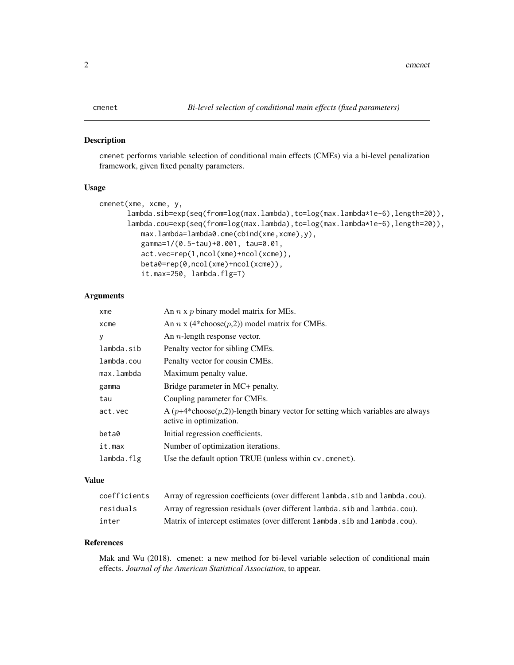#### <span id="page-1-0"></span>Description

cmenet performs variable selection of conditional main effects (CMEs) via a bi-level penalization framework, given fixed penalty parameters.

#### Usage

```
cmenet(xme, xcme, y,
      lambda.sib=exp(seq(from=log(max.lambda),to=log(max.lambda*1e-6),length=20)),
      lambda.cou=exp(seq(from=log(max.lambda),to=log(max.lambda*1e-6),length=20)),
          max.lambda=lambda0.cme(cbind(xme,xcme),y),
          gamma=1/(0.5-tau)+0.001, tau=0.01,
          act.vec=rep(1,ncol(xme)+ncol(xcme)),
          beta0=rep(0,ncol(xme)+ncol(xcme)),
          it.max=250, lambda.flg=T)
```
#### Arguments

| xme        | An $n \times p$ binary model matrix for MEs.                                                                  |
|------------|---------------------------------------------------------------------------------------------------------------|
| $x$ cme    | An <i>n</i> x (4*choose( <i>p</i> ,2)) model matrix for CMEs.                                                 |
| у          | An <i>n</i> -length response vector.                                                                          |
| lambda.sib | Penalty vector for sibling CMEs.                                                                              |
| lambda.cou | Penalty vector for cousin CMEs.                                                                               |
| max.lambda | Maximum penalty value.                                                                                        |
| gamma      | Bridge parameter in MC+ penalty.                                                                              |
| tau        | Coupling parameter for CMEs.                                                                                  |
| act.vec    | A $(p+4*choose(p,2))$ -length binary vector for setting which variables are always<br>active in optimization. |
| beta0      | Initial regression coefficients.                                                                              |
| it.max     | Number of optimization iterations.                                                                            |
| lambda.flg | Use the default option TRUE (unless within cv. cmenet).                                                       |

#### Value

| coefficients | Array of regression coefficients (over different lambda.sib and lambda.cou). |
|--------------|------------------------------------------------------------------------------|
| residuals    | Array of regression residuals (over different lambda, sib and lambda, cou).  |
| inter        | Matrix of intercept estimates (over different lambda, sib and lambda, cou).  |

#### References

Mak and Wu (2018). cmenet: a new method for bi-level variable selection of conditional main effects. *Journal of the American Statistical Association*, to appear.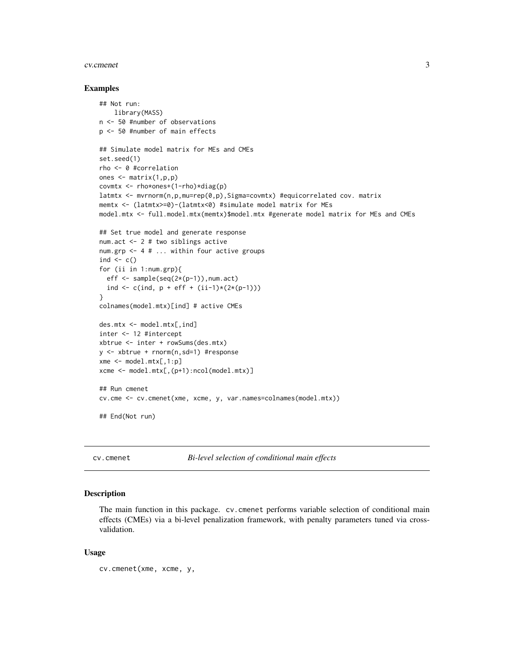#### <span id="page-2-0"></span>cv.cmenet 3

#### Examples

```
## Not run:
   library(MASS)
n <- 50 #number of observations
p <- 50 #number of main effects
## Simulate model matrix for MEs and CMEs
set.seed(1)
rho <- 0 #correlation
ones <- matrix(1,p,p)
covmtx \leq rho*ones+(1-rho)*diag(p)
latmtx <- mvrnorm(n,p,mu=rep(0,p),Sigma=covmtx) #equicorrelated cov. matrix
memtx <- (latmtx>=0)-(latmtx<0) #simulate model matrix for MEs
model.mtx <- full.model.mtx(memtx)$model.mtx #generate model matrix for MEs and CMEs
## Set true model and generate response
num.act <- 2 # two siblings active
num.grp <- 4 # ... within four active groups
ind \leq c()for (ii in 1:num.grp){
  eff <- sample(seq(2*(p-1)),num.act)
  ind \leq c(ind, p + eff + (ii-1)*(2*(p-1)))}
colnames(model.mtx)[ind] # active CMEs
des.mtx <- model.mtx[,ind]
inter <- 12 #intercept
xbtrue <- inter + rowSums(des.mtx)
y <- xbtrue + rnorm(n,sd=1) #response
xme \leq model.mtx[,1:p]
xcme <- model.mtx[,(p+1):ncol(model.mtx)]
## Run cmenet
cv.cme <- cv.cmenet(xme, xcme, y, var.names=colnames(model.mtx))
## End(Not run)
```
cv.cmenet *Bi-level selection of conditional main effects*

#### Description

The main function in this package. cv.cmenet performs variable selection of conditional main effects (CMEs) via a bi-level penalization framework, with penalty parameters tuned via crossvalidation.

#### Usage

cv.cmenet(xme, xcme, y,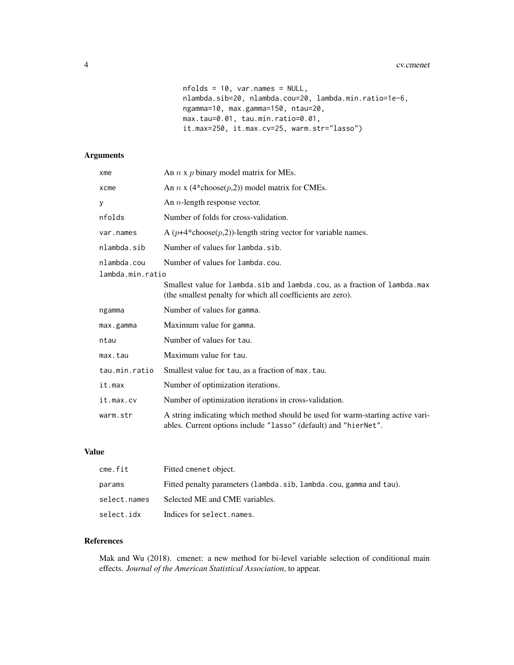```
nfolds = 10, var.names = NULL,
nlambda.sib=20, nlambda.cou=20, lambda.min.ratio=1e-6,
ngamma=10, max.gamma=150, ntau=20,
max.tau=0.01, tau.min.ratio=0.01,
it.max=250, it.max.cv=25, warm.str="lasso")
```
#### Arguments

| xme                             | An $n \times p$ binary model matrix for MEs.                                                                                                      |
|---------------------------------|---------------------------------------------------------------------------------------------------------------------------------------------------|
| xcme                            | An <i>n</i> x (4*choose( $p$ ,2)) model matrix for CMEs.                                                                                          |
| У                               | An $n$ -length response vector.                                                                                                                   |
| nfolds                          | Number of folds for cross-validation.                                                                                                             |
| var.names                       | A $(p+4*choose(p,2))$ -length string vector for variable names.                                                                                   |
| nlambda.sib                     | Number of values for lambda.sib.                                                                                                                  |
| nlambda.cou<br>lambda.min.ratio | Number of values for lambda.cou.                                                                                                                  |
|                                 | Smallest value for lambda.sib and lambda.cou, as a fraction of lambda.max<br>(the smallest penalty for which all coefficients are zero).          |
| ngamma                          | Number of values for gamma.                                                                                                                       |
| max.gamma                       | Maximum value for gamma.                                                                                                                          |
| ntau                            | Number of values for tau.                                                                                                                         |
| max.tau                         | Maximum value for tau.                                                                                                                            |
| tau.min.ratio                   | Smallest value for tau, as a fraction of max. tau.                                                                                                |
| it.max                          | Number of optimization iterations.                                                                                                                |
| it.max.cv                       | Number of optimization iterations in cross-validation.                                                                                            |
| warm.str                        | A string indicating which method should be used for warm-starting active vari-<br>ables. Current options include "lasso" (default) and "hierNet". |

#### Value

| cme.fit      | Fitted cmenet object.                                              |
|--------------|--------------------------------------------------------------------|
| params       | Fitted penalty parameters (lambda.sib, lambda.cou, gamma and tau). |
| select.names | Selected ME and CME variables.                                     |
| select.idx   | Indices for select. names.                                         |

#### References

Mak and Wu (2018). cmenet: a new method for bi-level variable selection of conditional main effects. *Journal of the American Statistical Association*, to appear.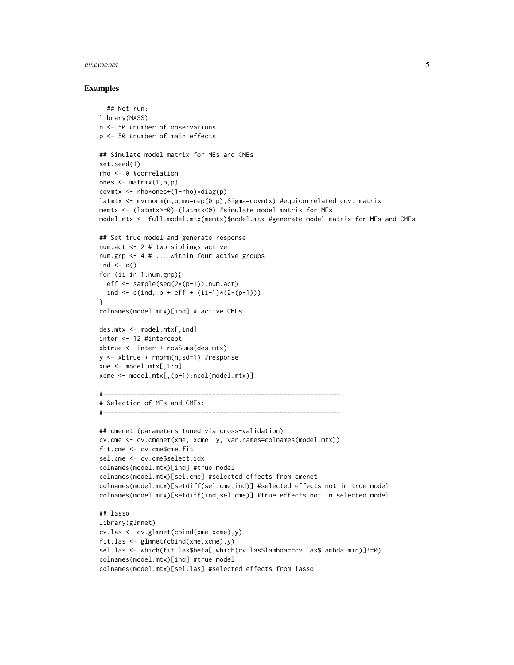#### cv.cmenet 5

#### Examples

```
## Not run:
library(MASS)
n <- 50 #number of observations
p <- 50 #number of main effects
## Simulate model matrix for MEs and CMEs
set.seed(1)
rho <- 0 #correlation
ones <- matrix(1,p,p)
covmtx \leq rho*ones+(1-rho)*diag(p)
latmtx <- mvrnorm(n,p,mu=rep(0,p),Sigma=covmtx) #equicorrelated cov. matrix
memtx <- (latmtx>=0)-(latmtx<0) #simulate model matrix for MEs
model.mtx <- full.model.mtx(memtx)$model.mtx #generate model matrix for MEs and CMEs
## Set true model and generate response
num.act <- 2 # two siblings active
num.grp <- 4 # ... within four active groups
ind \leq c()
for (ii in 1:num.grp){
  eff \leq sample(seq(2*(p-1)),num.act)
 ind <- c(ind, p + eff + (ii-1)*(2*(p-1)))}
colnames(model.mtx)[ind] # active CMEs
des.mtx < - model.mtx[,ind]inter <- 12 #intercept
xbtrue <- inter + rowSums(des.mtx)
y <- xbtrue + rnorm(n,sd=1) #response
xme \leq model.mtx[,1:p]
xcme <- model.mtx[,(p+1):ncol(model.mtx)]
#---------------------------------------------------------------
# Selection of MEs and CMEs:
#---------------------------------------------------------------
## cmenet (parameters tuned via cross-validation)
cv.cme <- cv.cmenet(xme, xcme, y, var.names=colnames(model.mtx))
fit.cme <- cv.cme$cme.fit
sel.cme <- cv.cme$select.idx
colnames(model.mtx)[ind] #true model
colnames(model.mtx)[sel.cme] #selected effects from cmenet
colnames(model.mtx)[setdiff(sel.cme,ind)] #selected effects not in true model
colnames(model.mtx)[setdiff(ind,sel.cme)] #true effects not in selected model
## lasso
library(glmnet)
cv.las <- cv.glmnet(cbind(xme,xcme),y)
fit.las <- glmnet(cbind(xme,xcme),y)
sel.las <- which(fit.las$beta[,which(cv.las$lambda==cv.las$lambda.min)]!=0)
colnames(model.mtx)[ind] #true model
colnames(model.mtx)[sel.las] #selected effects from lasso
```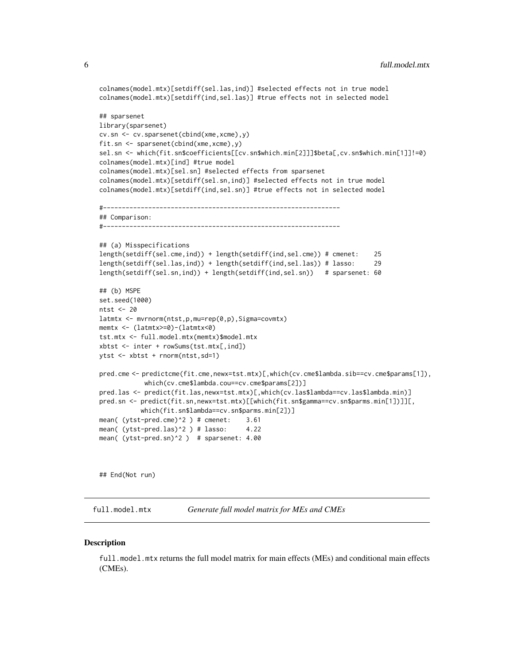```
colnames(model.mtx)[setdiff(sel.las,ind)] #selected effects not in true model
colnames(model.mtx)[setdiff(ind,sel.las)] #true effects not in selected model
## sparsenet
library(sparsenet)
cv.sn <- cv.sparsenet(cbind(xme,xcme),y)
fit.sn <- sparsenet(cbind(xme,xcme),y)
sel.sn <- which(fit.sn$coefficients[[cv.sn$which.min[2]]]$beta[,cv.sn$which.min[1]]!=0)
colnames(model.mtx)[ind] #true model
colnames(model.mtx)[sel.sn] #selected effects from sparsenet
colnames(model.mtx)[setdiff(sel.sn,ind)] #selected effects not in true model
colnames(model.mtx)[setdiff(ind,sel.sn)] #true effects not in selected model
#---------------------------------------------------------------
## Comparison:
#---------------------------------------------------------------
## (a) Misspecifications
length(setdiff(sel.cme,ind)) + length(setdiff(ind,sel.cme)) # cmenet: 25
length(setdiff(sel.las,ind)) + length(setdiff(ind,sel.las)) # lasso: 29
length(setdiff(sel.sn,ind)) + length(setdiff(ind,sel.sn)) # sparsenet: 60
## (b) MSPE
set.seed(1000)
ntst <- 20
latmtx <- mvrnorm(ntst,p,mu=rep(0,p),Sigma=covmtx)
memtx <- (latmtx>=0)-(latmtx<0)
tst.mtx <- full.model.mtx(memtx)$model.mtx
xbtst <- inter + rowSums(tst.mtx[,ind])
ytst <- xbtst + rnorm(ntst,sd=1)
pred.cme <- predictcme(fit.cme,newx=tst.mtx)[,which(cv.cme$lambda.sib==cv.cme$params[1]),
            which(cv.cme$lambda.cou==cv.cme$params[2])]
pred.las <- predict(fit.las,newx=tst.mtx)[,which(cv.las$lambda==cv.las$lambda.min)]
pred.sn <- predict(fit.sn,newx=tst.mtx)[[which(fit.sn$gamma==cv.sn$parms.min[1])]][,
           which(fit.sn$lambda==cv.sn$parms.min[2])]
mean( (ytst-pred.cme)^2 ) # cmenet: 3.61
mean( (ytst-pred.las)^2 ) # lasso: 4.22
mean( (ytst-pred.sn)^2 ) # sparsenet: 4.00
```
## End(Not run)

full.model.mtx *Generate full model matrix for MEs and CMEs*

#### **Description**

full.model.mtx returns the full model matrix for main effects (MEs) and conditional main effects (CMEs).

<span id="page-5-0"></span>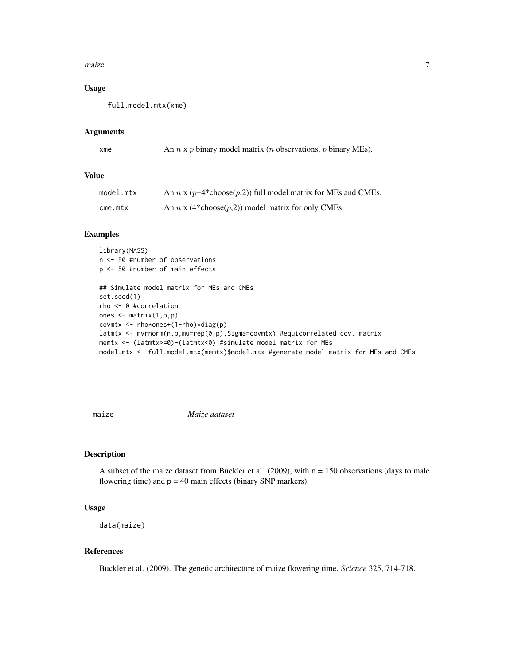#### <span id="page-6-0"></span>maize 7 and 7 and 7 and 7 and 7 and 7 and 7 and 7 and 7 and 7 and 7 and 7 and 7 and 7 and 7 and 7 and 7 and 7 and 7 and 7 and 7 and 7 and 7 and 7 and 7 and 7 and 7 and 7 and 7 and 7 and 7 and 7 and 7 and 7 and 7 and 7 and

#### Usage

full.model.mtx(xme)

#### Arguments

| xme |  | An $n \times p$ binary model matrix ( <i>n</i> observations, <i>p</i> binary MEs). |  |
|-----|--|------------------------------------------------------------------------------------|--|
|-----|--|------------------------------------------------------------------------------------|--|

#### Value

| model.mtx  | An <i>n</i> x ( $p+4*$ choose( $p,2$ )) full model matrix for MEs and CMEs. |
|------------|-----------------------------------------------------------------------------|
| $c$ me.mtx | An <i>n</i> x (4*choose( <i>p</i> ,2)) model matrix for only CMEs.          |

#### Examples

```
library(MASS)
n <- 50 #number of observations
p <- 50 #number of main effects
## Simulate model matrix for MEs and CMEs
set.seed(1)
rho <- 0 #correlation
ones <- matrix(1,p,p)
covmtx <- rho*ones+(1-rho)*diag(p)
latmtx <- mvrnorm(n,p,mu=rep(0,p),Sigma=covmtx) #equicorrelated cov. matrix
memtx <- (latmtx>=0)-(latmtx<0) #simulate model matrix for MEs
model.mtx <- full.model.mtx(memtx)$model.mtx #generate model matrix for MEs and CMEs
```
maize *Maize dataset*

#### Description

A subset of the maize dataset from Buckler et al.  $(2009)$ , with  $n = 150$  observations (days to male flowering time) and  $p = 40$  main effects (binary SNP markers).

#### Usage

```
data(maize)
```
#### References

Buckler et al. (2009). The genetic architecture of maize flowering time. *Science* 325, 714-718.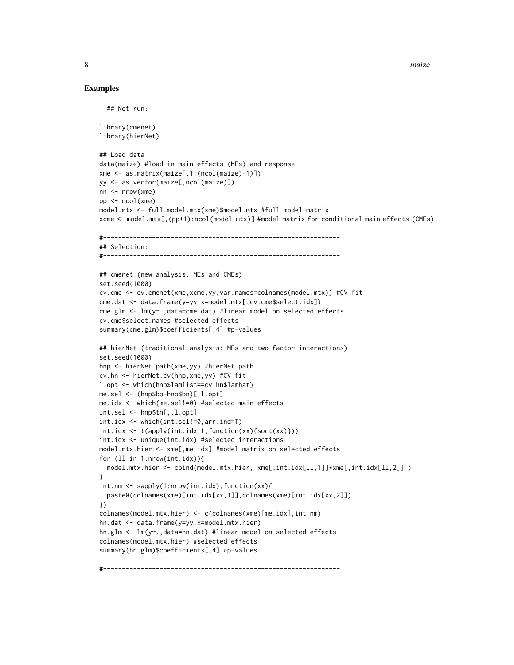8 maize not a state of the contract of the contract of the contract of the contract of the contract of the contract of the contract of the contract of the contract of the contract of the contract of the contract of the con

#### Examples

```
## Not run:
library(cmenet)
library(hierNet)
## Load data
data(maize) #load in main effects (MEs) and response
xme <- as.matrix(maize[,1:(ncol(maize)-1)])
yy <- as.vector(maize[,ncol(maize)])
nn <- nrow(xme)
pp \le - \text{ncol}(\text{xme})model.mtx <- full.model.mtx(xme)$model.mtx #full model matrix
xcme <- model.mtx[,(pp+1):ncol(model.mtx)] #model matrix for conditional main effects (CMEs)
#---------------------------------------------------------------
## Selection:
#---------------------------------------------------------------
## cmenet (new analysis: MEs and CMEs)
set.seed(1000)
cv.cme <- cv.cmenet(xme,xcme,yy,var.names=colnames(model.mtx)) #CV fit
cme.dat <- data.frame(y=yy,x=model.mtx[,cv.cme$select.idx])
cme.glm <- lm(y~.,data=cme.dat) #linear model on selected effects
cv.cme$select.names #selected effects
summary(cme.glm)$coefficients[,4] #p-values
## hierNet (traditional analysis: MEs and two-factor interactions)
set.seed(1000)
hnp <- hierNet.path(xme,yy) #hierNet path
cv.hn <- hierNet.cv(hnp,xme,yy) #CV fit
l.opt <- which(hnp$lamlist==cv.hn$lamhat)
me.sel <- (hnp$bp-hnp$bn)[,l.opt]
me.idx <- which(me.sel!=0) #selected main effects
int.sel <- hnp$th[,,l.opt]
int.idx <- which(int.sel!=0,arr.ind=T)
int.idx <- t(apply(int.idx,1,function(xx){sort(xx)}))
int.idx <- unique(int.idx) #selected interactions
model.mtx.hier <- xme[,me.idx] #model matrix on selected effects
for (ll in 1:nrow(int.idx)){
  model.mtx.hier <- cbind(model.mtx.hier, xme[,int.idx[ll,1]]*xme[,int.idx[ll,2]] )
}
int.nm <- sapply(1:nrow(int.idx),function(xx){
  paste0(colnames(xme)[int.idx[xx,1]],colnames(xme)[int.idx[xx,2]])
})
colnames(model.mtx.hier) <- c(colnames(xme)[me.idx],int.nm)
hn.dat <- data.frame(y=yy,x=model.mtx.hier)
hn.glm <- lm(y~.,data=hn.dat) #linear model on selected effects
colnames(model.mtx.hier) #selected effects
summary(hn.glm)$coefficients[,4] #p-values
#---------------------------------------------------------------
```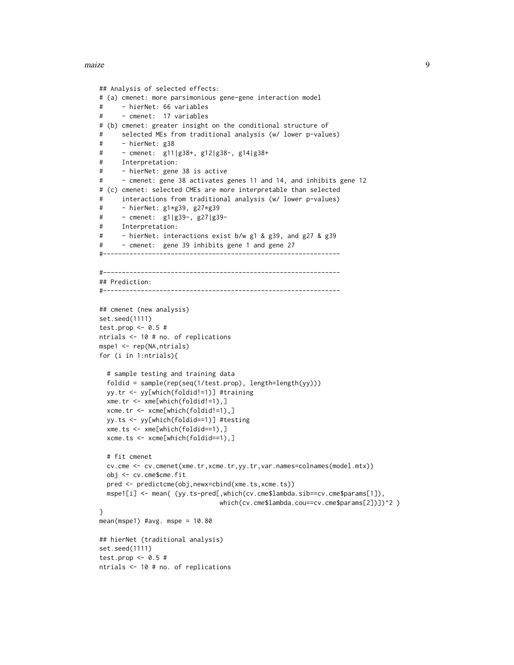maize **9** 

```
## Analysis of selected effects:
# (a) cmenet: more parsimonious gene-gene interaction model
# - hierNet: 66 variables
# - cmenet: 17 variables
# (b) cmenet: greater insight on the conditional structure of
# selected MEs from traditional analysis (w/ lower p-values)
# - hierNet: g38
# - cmenet: g11|g38+, g12|g38-, g14|g38+
# Interpretation:
# - hierNet: gene 38 is active
# - cmenet: gene 38 activates genes 11 and 14, and inhibits gene 12
# (c) cmenet: selected CMEs are more interpretable than selected
# interactions from traditional analysis (w/ lower p-values)
# - hierNet: g1*g39, g27*g39
# - cmenet: g1|g39-, g27|g39-
# Interpretation:
# - hierNet: interactions exist b/w g1 & g39, and g27 & g39
# - cmenet: gene 39 inhibits gene 1 and gene 27
#---------------------------------------------------------------
#---------------------------------------------------------------
## Prediction:
#---------------------------------------------------------------
## cmenet (new analysis)
set.seed(1111)
test.prop <-0.5#
ntrials <- 10 # no. of replications
mspe1 <- rep(NA,ntrials)
for (i in 1:ntrials){
 # sample testing and training data
 foldid = sample(rep(seq(1/test.prop), length=length(yy)))
 yy.tr <- yy[which(foldid!=1)] #training
 xme.tr <- xme[which(foldid!=1),]
 xcme.tr <- xcme[which(foldid!=1),]
 yy.ts <- yy[which(foldid==1)] #testing
 xme.ts <- xme[which(foldid==1),]
 xcme.ts <- xcme[which(foldid==1),]
 # fit cmenet
 cv.cme <- cv.cmenet(xme.tr,xcme.tr,yy.tr,var.names=colnames(model.mtx))
 obj <- cv.cme$cme.fit
 pred <- predictcme(obj,newx=cbind(xme.ts,xcme.ts))
 mspe1[i] <- mean( (yy.ts-pred[,which(cv.cme$lambda.sib==cv.cme$params[1]),
                               which(cv.cme$lambda.cou==cv.cme$params[2])])^2 )
}
mean(mspe1) #avg. mspe = 10.80
## hierNet (traditional analysis)
set.seed(1111)
test.prop <-0.5#
ntrials <- 10 # no. of replications
```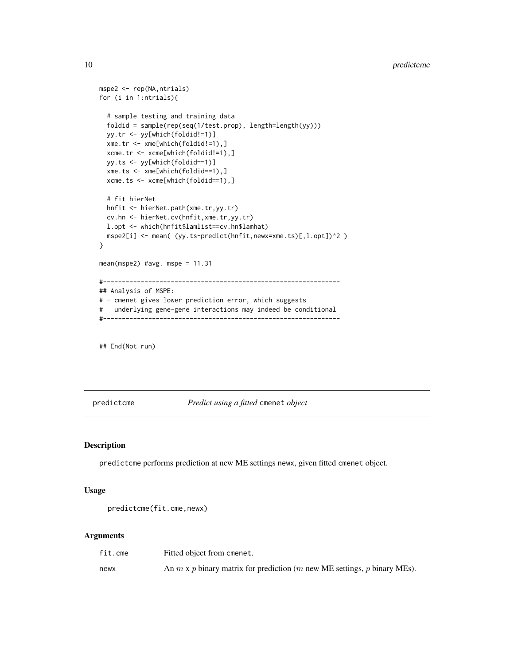```
mspe2 <- rep(NA,ntrials)
for (i in 1:ntrials){
 # sample testing and training data
 foldid = sample(rep(seq(1/test.prop), length=length(yy)))
 yy.tr <- yy[which(foldid!=1)]
 xme.tr <- xme[which(foldid!=1),]
 xcme.tr <- xcme[which(foldid!=1),]
 yy.ts <- yy[which(foldid==1)]
 xme.ts <- xme[which(foldid==1),]
 xcme.ts <- xcme[which(foldid==1),]
 # fit hierNet
 hnfit <- hierNet.path(xme.tr,yy.tr)
 cv.hn <- hierNet.cv(hnfit,xme.tr,yy.tr)
 l.opt <- which(hnfit$lamlist==cv.hn$lamhat)
 mspe2[i] <- mean( (yy.ts-predict(hnfit,newx=xme.ts)[,l.opt])^2 )
}
mean(mspe2) #avg. mspe = 11.31
#---------------------------------------------------------------
## Analysis of MSPE:
# - cmenet gives lower prediction error, which suggests
# underlying gene-gene interactions may indeed be conditional
#---------------------------------------------------------------
```
## End(Not run)

predictcme *Predict using a fitted* cmenet *object*

#### Description

predictcme performs prediction at new ME settings newx, given fitted cmenet object.

#### Usage

```
predictcme(fit.cme,newx)
```
#### Arguments

| fit.cme | Fitted object from cmenet.                                                      |
|---------|---------------------------------------------------------------------------------|
| newx    | An $m \times p$ binary matrix for prediction (m new ME settings, p binary MEs). |

<span id="page-9-0"></span>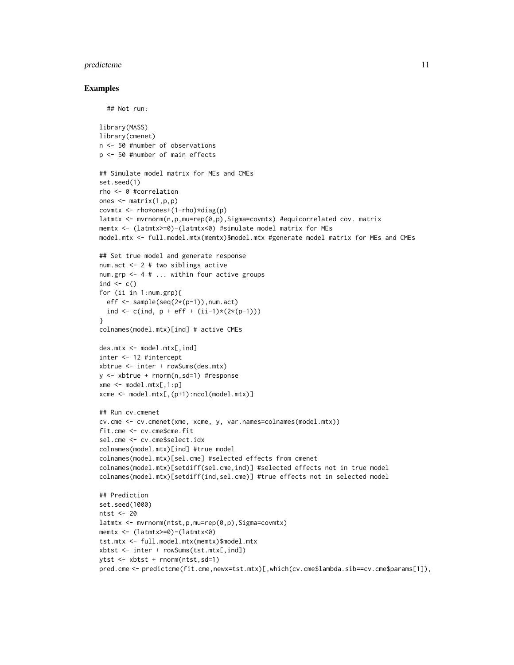#### predictcme that the contract of the contract of the contract of the contract of the contract of the contract of the contract of the contract of the contract of the contract of the contract of the contract of the contract o

#### Examples

```
## Not run:
```

```
library(MASS)
library(cmenet)
n <- 50 #number of observations
p <- 50 #number of main effects
## Simulate model matrix for MEs and CMEs
set.seed(1)
rho <- 0 #correlation
ones <- matrix(1,p,p)
covmtx <- rho*ones+(1-rho)*diag(p)
latmtx <- mvrnorm(n,p,mu=rep(0,p),Sigma=covmtx) #equicorrelated cov. matrix
memtx <- (latmtx>=0)-(latmtx<0) #simulate model matrix for MEs
model.mtx <- full.model.mtx(memtx)$model.mtx #generate model matrix for MEs and CMEs
## Set true model and generate response
num.act <- 2 # two siblings active
num.grp <- 4 # ... within four active groups
ind \leftarrow c()
for (ii in 1:num.grp){
 eff \leq sample(seq(2*(p-1)), num.act)
  ind \leq c(ind, p + eff + (ii-1)*(2*(p-1)))}
colnames(model.mtx)[ind] # active CMEs
des.mtx <- model.mtx[,ind]
inter <- 12 #intercept
xbtrue <- inter + rowSums(des.mtx)
y <- xbtrue + rnorm(n,sd=1) #response
xme \leq model.mtx[,1:p]
xcme <- model.mtx[,(p+1):ncol(model.mtx)]
## Run cv.cmenet
cv.cme <- cv.cmenet(xme, xcme, y, var.names=colnames(model.mtx))
fit.cme <- cv.cme$cme.fit
sel.cme <- cv.cme$select.idx
colnames(model.mtx)[ind] #true model
colnames(model.mtx)[sel.cme] #selected effects from cmenet
colnames(model.mtx)[setdiff(sel.cme,ind)] #selected effects not in true model
colnames(model.mtx)[setdiff(ind,sel.cme)] #true effects not in selected model
## Prediction
set.seed(1000)
ntst <- 20
latmtx <- mvrnorm(ntst,p,mu=rep(0,p),Sigma=covmtx)
memtx <- (latmtx>=0)-(latmtx<0)
tst.mtx <- full.model.mtx(memtx)$model.mtx
xbtst <- inter + rowSums(tst.mtx[,ind])
ytst <- xbtst + rnorm(ntst,sd=1)
pred.cme <- predictcme(fit.cme,newx=tst.mtx)[,which(cv.cme$lambda.sib==cv.cme$params[1]),
```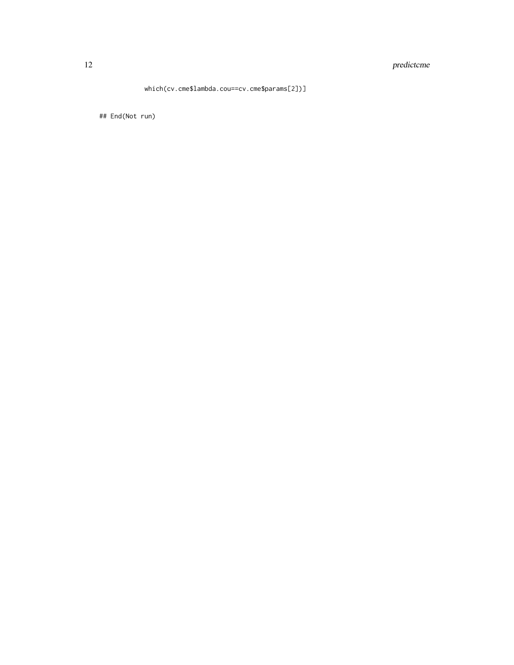#### 12 predictcme

#### which(cv.cme\$lambda.cou==cv.cme\$params[2])]

## End(Not run)